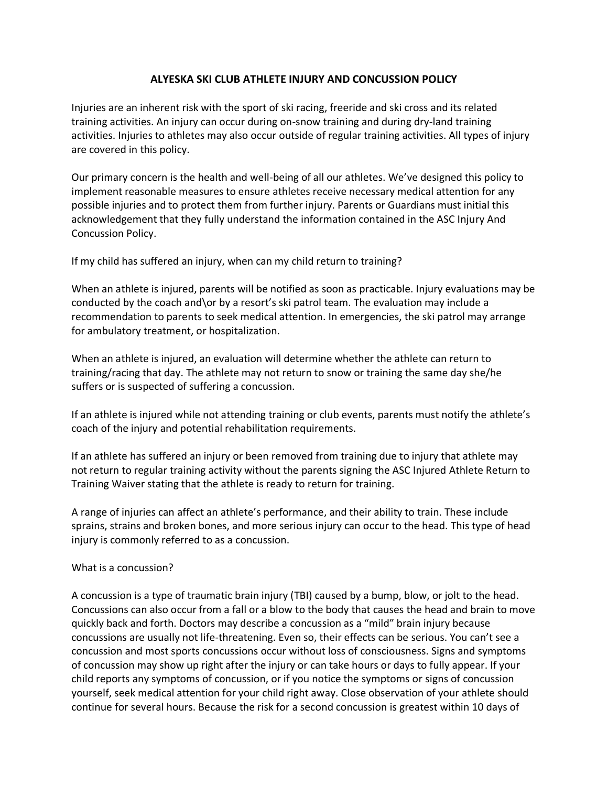## **ALYESKA SKI CLUB ATHLETE INJURY AND CONCUSSION POLICY**

Injuries are an inherent risk with the sport of ski racing, freeride and ski cross and its related training activities. An injury can occur during on-snow training and during dry-land training activities. Injuries to athletes may also occur outside of regular training activities. All types of injury are covered in this policy.

Our primary concern is the health and well-being of all our athletes. We've designed this policy to implement reasonable measures to ensure athletes receive necessary medical attention for any possible injuries and to protect them from further injury. Parents or Guardians must initial this acknowledgement that they fully understand the information contained in the ASC Injury And Concussion Policy.

If my child has suffered an injury, when can my child return to training?

When an athlete is injured, parents will be notified as soon as practicable. Injury evaluations may be conducted by the coach and\or by a resort's ski patrol team. The evaluation may include a recommendation to parents to seek medical attention. In emergencies, the ski patrol may arrange for ambulatory treatment, or hospitalization.

When an athlete is injured, an evaluation will determine whether the athlete can return to training/racing that day. The athlete may not return to snow or training the same day she/he suffers or is suspected of suffering a concussion.

If an athlete is injured while not attending training or club events, parents must notify the athlete's coach of the injury and potential rehabilitation requirements.

If an athlete has suffered an injury or been removed from training due to injury that athlete may not return to regular training activity without the parents signing the ASC Injured Athlete Return to Training Waiver stating that the athlete is ready to return for training.

A range of injuries can affect an athlete's performance, and their ability to train. These include sprains, strains and broken bones, and more serious injury can occur to the head. This type of head injury is commonly referred to as a concussion.

## What is a concussion?

A concussion is a type of traumatic brain injury (TBI) caused by a bump, blow, or jolt to the head. Concussions can also occur from a fall or a blow to the body that causes the head and brain to move quickly back and forth. Doctors may describe a concussion as a "mild" brain injury because concussions are usually not life-threatening. Even so, their effects can be serious. You can't see a concussion and most sports concussions occur without loss of consciousness. Signs and symptoms of concussion may show up right after the injury or can take hours or days to fully appear. If your child reports any symptoms of concussion, or if you notice the symptoms or signs of concussion yourself, seek medical attention for your child right away. Close observation of your athlete should continue for several hours. Because the risk for a second concussion is greatest within 10 days of